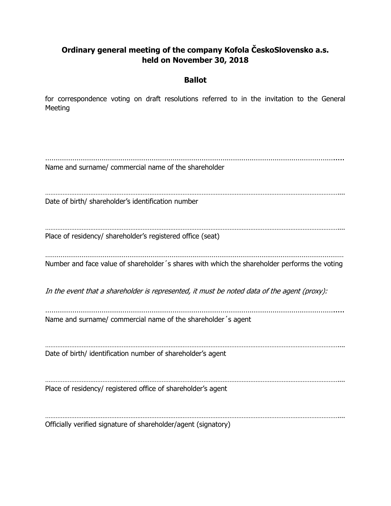## **Ordinary general meeting of the company Kofola ČeskoSlovensko a.s. held on November 30, 2018**

## **Ballot**

for correspondence voting on draft resolutions referred to in the invitation to the General Meeting

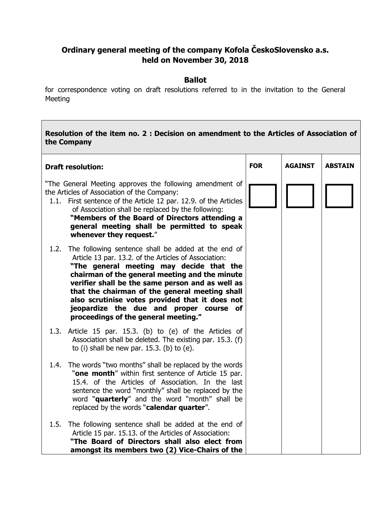## **Ordinary general meeting of the company Kofola ČeskoSlovensko a.s. held on November 30, 2018**

## **Ballot**

for correspondence voting on draft resolutions referred to in the invitation to the General Meeting

| Resolution of the item no. 2: Decision on amendment to the Articles of Association of<br>the Company                                                                                                                                                                                                                                                                                                                                                           |            |                |                |  |  |
|----------------------------------------------------------------------------------------------------------------------------------------------------------------------------------------------------------------------------------------------------------------------------------------------------------------------------------------------------------------------------------------------------------------------------------------------------------------|------------|----------------|----------------|--|--|
| <b>Draft resolution:</b>                                                                                                                                                                                                                                                                                                                                                                                                                                       | <b>FOR</b> | <b>AGAINST</b> | <b>ABSTAIN</b> |  |  |
| "The General Meeting approves the following amendment of<br>the Articles of Association of the Company:<br>1.1. First sentence of the Article 12 par. 12.9. of the Articles<br>of Association shall be replaced by the following:<br>"Members of the Board of Directors attending a<br>general meeting shall be permitted to speak<br>whenever they request."                                                                                                  |            |                |                |  |  |
| 1.2.<br>The following sentence shall be added at the end of<br>Article 13 par. 13.2. of the Articles of Association:<br>"The general meeting may decide that the<br>chairman of the general meeting and the minute<br>verifier shall be the same person and as well as<br>that the chairman of the general meeting shall<br>also scrutinise votes provided that it does not<br>jeopardize the due and proper course of<br>proceedings of the general meeting." |            |                |                |  |  |
| 1.3. Article 15 par. 15.3. (b) to (e) of the Articles of<br>Association shall be deleted. The existing par. 15.3. (f)<br>to (i) shall be new par. $15.3$ . (b) to (e).                                                                                                                                                                                                                                                                                         |            |                |                |  |  |
| The words "two months" shall be replaced by the words<br>1.4.<br>"one month" within first sentence of Article 15 par.<br>15.4. of the Articles of Association. In the last<br>sentence the word "monthly" shall be replaced by the<br>word "quarterly" and the word "month" shall be<br>replaced by the words "calendar quarter".                                                                                                                              |            |                |                |  |  |
| 1.5. The following sentence shall be added at the end of<br>Article 15 par. 15.13. of the Articles of Association:<br>"The Board of Directors shall also elect from<br>amongst its members two (2) Vice-Chairs of the                                                                                                                                                                                                                                          |            |                |                |  |  |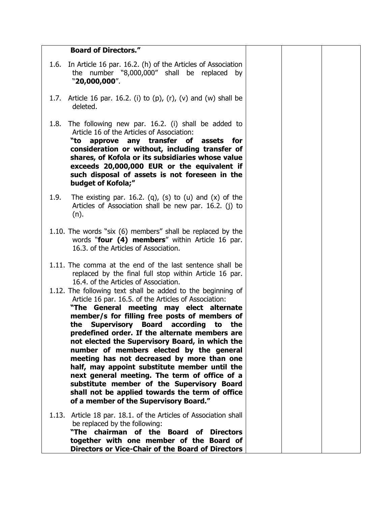| <b>Board of Directors."</b>                                                                                                                                                                                                                                                                                                                                                                                                                                                                                                                                                                                                                                                                                                                                                                                                                                                  |  |
|------------------------------------------------------------------------------------------------------------------------------------------------------------------------------------------------------------------------------------------------------------------------------------------------------------------------------------------------------------------------------------------------------------------------------------------------------------------------------------------------------------------------------------------------------------------------------------------------------------------------------------------------------------------------------------------------------------------------------------------------------------------------------------------------------------------------------------------------------------------------------|--|
| In Article 16 par. 16.2. (h) of the Articles of Association<br>1.6.<br>the number "8,000,000" shall be replaced by<br>"20,000,000".                                                                                                                                                                                                                                                                                                                                                                                                                                                                                                                                                                                                                                                                                                                                          |  |
| 1.7. Article 16 par. 16.2. (i) to $(p)$ , $(r)$ , $(v)$ and $(w)$ shall be<br>deleted.                                                                                                                                                                                                                                                                                                                                                                                                                                                                                                                                                                                                                                                                                                                                                                                       |  |
| 1.8.<br>The following new par. 16.2. (i) shall be added to<br>Article 16 of the Articles of Association:<br>approve any transfer of<br>"to<br>assets for<br>consideration or without, including transfer of<br>shares, of Kofola or its subsidiaries whose value<br>exceeds 20,000,000 EUR or the equivalent if<br>such disposal of assets is not foreseen in the<br>budget of Kofola;"                                                                                                                                                                                                                                                                                                                                                                                                                                                                                      |  |
| 1.9.<br>The existing par. 16.2. (q), (s) to (u) and $(x)$ of the<br>Articles of Association shall be new par. 16.2. (j) to<br>(n).                                                                                                                                                                                                                                                                                                                                                                                                                                                                                                                                                                                                                                                                                                                                           |  |
| 1.10. The words "six (6) members" shall be replaced by the<br>words "four (4) members" within Article 16 par.<br>16.3. of the Articles of Association.                                                                                                                                                                                                                                                                                                                                                                                                                                                                                                                                                                                                                                                                                                                       |  |
| 1.11. The comma at the end of the last sentence shall be<br>replaced by the final full stop within Article 16 par.<br>16.4. of the Articles of Association.<br>1.12. The following text shall be added to the beginning of<br>Article 16 par. 16.5. of the Articles of Association:<br>"The General meeting may elect alternate<br>member/s for filling free posts of members of<br>the Supervisory Board according<br>to<br>the<br>predefined order. If the alternate members are<br>not elected the Supervisory Board, in which the<br>number of members elected by the general<br>meeting has not decreased by more than one<br>half, may appoint substitute member until the<br>next general meeting. The term of office of a<br>substitute member of the Supervisory Board<br>shall not be applied towards the term of office<br>of a member of the Supervisory Board." |  |
| 1.13. Article 18 par. 18.1. of the Articles of Association shall<br>be replaced by the following:<br>"The chairman of the Board of Directors<br>together with one member of the Board of<br>Directors or Vice-Chair of the Board of Directors                                                                                                                                                                                                                                                                                                                                                                                                                                                                                                                                                                                                                                |  |